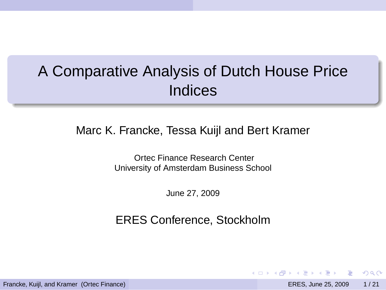# A Comparative Analysis of Dutch House Price **Indices**

Marc K. Francke, Tessa Kuijl and Bert Kramer

Ortec Finance Research Center University of Amsterdam Business School

June 27, 2009

ERES Conference, Stockholm

Francke, Kuijl, and Kramer (Ortec Finance) ERES, June 25, 2009 1 / 21

 $\Omega$ 

化重氮化重氮

 $(5.7)$   $(5.7)$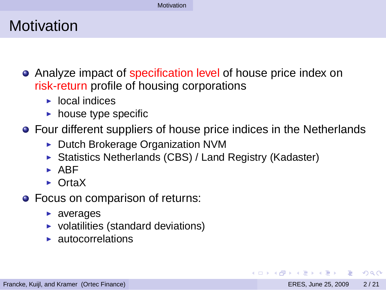#### **Motivation**

- Analyze impact of specification level of house price index on risk-return profile of housing corporations
	- $\blacktriangleright$  local indices
	- $\blacktriangleright$  house type specific
- Four different suppliers of house price indices in the Netherlands
	- ► Dutch Brokerage Organization NVM
	- ▶ Statistics Netherlands (CBS) / Land Registry (Kadaster)
	- $\blacktriangleright$  ARF
	- ► OrtaX
- Focus on comparison of returns:
	- $\blacktriangleright$  averages
	- $\triangleright$  volatilities (standard deviations)
	- $\blacktriangleright$  autocorrelations

<span id="page-1-0"></span> $\Omega$ 

イロト イ押 トイラト イラト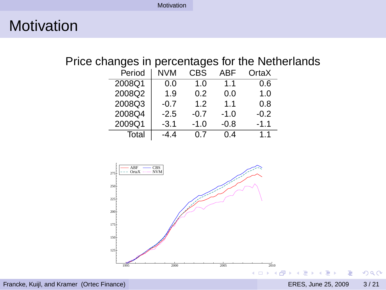#### **Motivation**

#### Price changes in percentages for the Netherlands

| Period | NVM    | CBS    | ABF    | OrtaX  |
|--------|--------|--------|--------|--------|
| 2008Q1 | 0.0    | 1.0    | 1.1    | 0.6    |
| 2008Q2 | 1.9    | 0.2    | 0.0    | 1.0    |
| 2008Q3 | $-0.7$ | 1.2    | 1.1    | 0.8    |
| 2008Q4 | $-2.5$ | $-0.7$ | $-1.0$ | $-0.2$ |
| 2009Q1 | $-3.1$ | $-1.0$ | $-0.8$ | $-1.1$ |
| Total  | -4.4   | 0.7    | 0.4    | 1.1    |

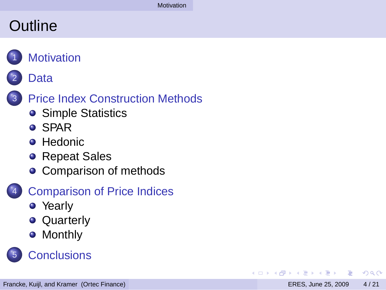#### **Outline**



#### **[Data](#page-4-0)**



- [Simple Statistics](#page-6-0)
- **o** [SPAR](#page-7-0)
- **[Hedonic](#page-8-0)**
- **[Repeat Sales](#page-10-0)**
- [Comparison of methods](#page-12-0)
- **[Comparison of Price Indices](#page-13-0)** 
	- [Yearly](#page-15-0)
	- **•** [Quarterly](#page-16-0)
	- **•** [Monthly](#page-17-0)



<span id="page-3-0"></span> $\Omega$ 

 $\mathbf{A} \equiv \mathbf{A} \times \mathbf{A} \equiv \mathbf{A}$ 

4 m k 4 F ×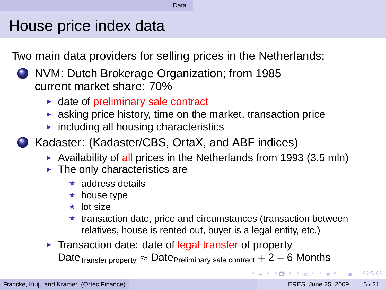#### House price index data

Two main data providers for selling prices in the Netherlands:

- <sup>1</sup> NVM: Dutch Brokerage Organization; from 1985 current market share: 70%
	- $\triangleright$  date of preliminary sale contract
	- $\triangleright$  asking price history, time on the market, transaction price
	- $\triangleright$  including all housing characteristics
- <sup>2</sup> Kadaster: (Kadaster/CBS, OrtaX, and ABF indices)
	- $\blacktriangleright$  Availability of all prices in the Netherlands from 1993 (3.5 mln)
	- $\blacktriangleright$  The only characteristics are
		- <sup>⋆</sup> address details
		- $\star$  house type
		- <sup>⋆</sup> lot size
		- $\star$  transaction date, price and circumstances (transaction between relatives, house is rented out, buyer is a legal entity, etc.)
	- ► Transaction date: date of legal transfer of property Date $_{\text{Transfer property}} \approx \text{Date}_{\text{Preliminary sale contract}} + 2 - 6$  Months

<span id="page-4-0"></span> $\Omega$ 

KON KAN KENYEN LE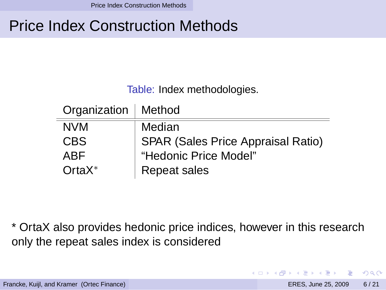Price Index Construction Methods

### Price Index Construction Methods

Table: Index methodologies.

| Organization   Method |                                           |
|-----------------------|-------------------------------------------|
| <b>NVM</b>            | Median                                    |
| <b>CBS</b>            | <b>SPAR (Sales Price Appraisal Ratio)</b> |
| ABF                   | "Hedonic Price Model"                     |
| $OrtaX^*$             | Repeat sales                              |

\* OrtaX also provides hedonic price indices, however in this research only the repeat sales index is considered

<span id="page-5-0"></span> $\Omega$ 

 $\mathcal{A} \oplus \mathcal{A} \rightarrow \mathcal{A} \oplus \mathcal{A}$ 

 $1\sqcap$   $1\sqcap 1$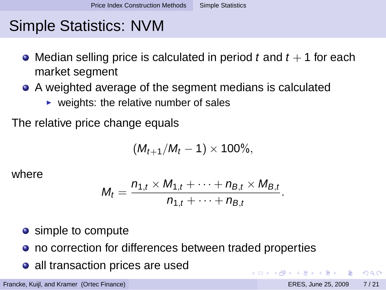### Simple Statistics: NVM

- Median selling price is calculated in period t and  $t + 1$  for each market segment
- A weighted average of the segment medians is calculated
	- $\triangleright$  weights: the relative number of sales

The relative price change equals

$$
(M_{t+1}/M_t - 1) \times 100\%,
$$

where

$$
M_t = \frac{n_{1,t} \times M_{1,t} + \cdots + n_{B,t} \times M_{B,t}}{n_{1,t} + \cdots + n_{B,t}}.
$$

 $(0.12.10)$   $(0.12.10)$   $(0.12.10)$ 

<span id="page-6-0"></span> $\Omega$ 

- simple to compute
- no correction for differences between traded properties
- all transaction prices are used

Francke, Kuijl, and Kramer (Ortec Finance) ERES, June 25, 2009 7 / 21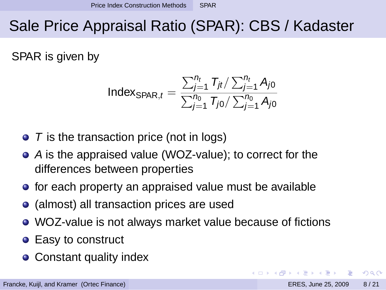## Sale Price Appraisal Ratio (SPAR): CBS / Kadaster

SPAR is given by

$$
Index_{SPAR,t} = \frac{\sum_{j=1}^{n_t} T_{jt} / \sum_{j=1}^{n_t} A_{j0}}{\sum_{j=1}^{n_0} T_{j0} / \sum_{j=1}^{n_0} A_{j0}}
$$

- $\bullet$  T is the transaction price (not in logs)
- A is the appraised value (WOZ-value); to correct for the differences between properties
- for each property an appraised value must be available
- (almost) all transaction prices are used
- WOZ-value is not always market value because of fictions
- Easy to construct
- Constant quality index

<span id="page-7-0"></span> $\Omega$ 

イロト イ押 トイラト イラト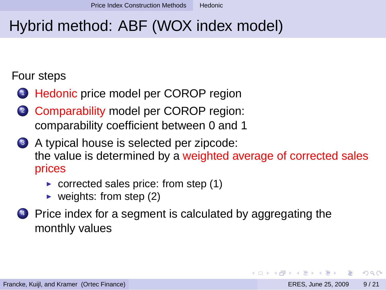### Hybrid method: ABF (WOX index model)

#### Four steps

- <sup>1</sup> Hedonic price model per COROP region
- <sup>2</sup> Comparability model per COROP region: comparability coefficient between 0 and 1
- <sup>3</sup> A typical house is selected per zipcode: the value is determined by a weighted average of corrected sales prices
	- $\triangleright$  corrected sales price: from step (1)
	- veights: from step  $(2)$
- <sup>4</sup> Price index for a segment is calculated by aggregating the monthly values

<span id="page-8-0"></span> $\Omega$ 

イロト イ押 トイラト イラト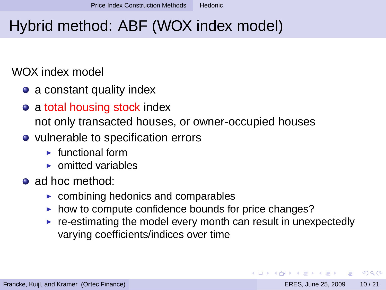## Hybrid method: ABF (WOX index model)

#### WOX index model

- a constant quality index
- **•** a total housing stock index
	- not only transacted houses, or owner-occupied houses
- vulnerable to specification errors
	- $\blacktriangleright$  functional form
	- $\triangleright$  omitted variables
- ad hoc method:
	- $\triangleright$  combining hedonics and comparables
	- ► how to compute confidence bounds for price changes?
	- $\triangleright$  re-estimating the model every month can result in unexpectedly varying coefficients/indices over time

<span id="page-9-0"></span> $\Omega$ 

イロト イ押 トイラ トイラト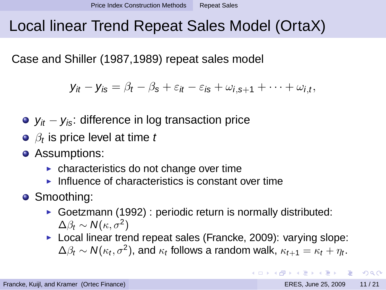### Local linear Trend Repeat Sales Model (OrtaX)

Case and Shiller (1987,1989) repeat sales model

$$
\mathbf{y}_{it}-\mathbf{y}_{is}=\beta_t-\beta_s+\varepsilon_{it}-\varepsilon_{is}+\omega_{i,s+1}+\cdots+\omega_{i,t},
$$

- $y_{it} y_{is}$ : difference in log transaction price
- $\beta_t$  is price level at time  $t$
- **•** Assumptions:
	- $\triangleright$  characteristics do not change over time
	- $\blacktriangleright$  Influence of characteristics is constant over time
- Smoothing:
	- ► Goetzmann (1992) : periodic return is normally distributed:  $\Delta \beta_t \sim \mathcal{N}(\kappa, \sigma^2)$
	- ► Local linear trend repeat sales (Francke, 2009): varying slope:  $\Delta \beta_t \sim \mathcal{N}(\kappa_t, \sigma^2)$ , and  $\kappa_t$  follows a random walk,  $\kappa_{t+1} = \kappa_t + \eta_t$ .

<span id="page-10-0"></span> $\Omega$ 

イロメ イ母 メスラメスラメーラ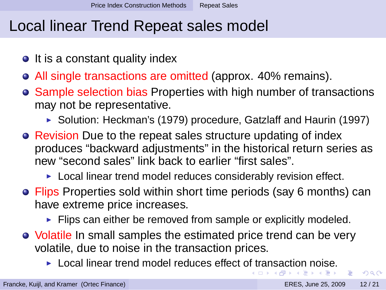#### Local linear Trend Repeat sales model

- $\bullet$  It is a constant quality index
- All single transactions are omitted (approx. 40% remains).
- Sample selection bias Properties with high number of transactions may not be representative.
	- ► Solution: Heckman's (1979) procedure, Gatzlaff and Haurin (1997)
- Revision Due to the repeat sales structure updating of index produces "backward adjustments" in the historical return series as new "second sales" link back to earlier "first sales".
	- ► Local linear trend model reduces considerably revision effect.
- Flips Properties sold within short time periods (say 6 months) can have extreme price increases.
	- ► Flips can either be removed from sample or explicitly modeled.
- Volatile In small samples the estimated price trend can be very volatile, due to noise in the transaction prices.
	- $\blacktriangleright$  $\blacktriangleright$  $\blacktriangleright$  $\blacktriangleright$  $\blacktriangleright$  Local linear trend model reduces effect [of t](#page-10-0)ran[s](#page-10-0)[ac](#page-11-0)[ti](#page-12-0)[o](#page-4-0)[n](#page-10-0) [n](#page-12-0)o[is](#page-5-0)e[.](#page-13-0)  $\mathbf{A} \oplus \mathbf{A} \rightarrow \mathbf{A} \oplus \mathbf{A}$

в

<span id="page-11-0"></span> $\Omega$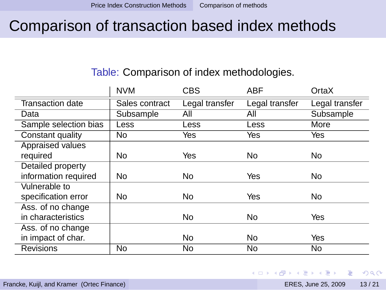#### Comparison of transaction based index methods

#### Table: Comparison of index methodologies.

|                         | <b>NVM</b>     | <b>CBS</b>     | <b>ABF</b>     | OrtaX          |
|-------------------------|----------------|----------------|----------------|----------------|
| <b>Transaction date</b> | Sales contract | Legal transfer | Legal transfer | Legal transfer |
| Data                    | Subsample      | Αll            | ΑIΙ            | Subsample      |
| Sample selection bias   | Less           | Less           | Less           | More           |
| Constant quality        | No             | Yes            | Yes            | Yes            |
| Appraised values        |                |                |                |                |
| required                | No             | Yes            | No             | No             |
| Detailed property       |                |                |                |                |
| information required    | No             | No             | Yes            | No             |
| Vulnerable to           |                |                |                |                |
| specification error     | No             | No             | Yes            | No             |
| Ass. of no change       |                |                |                |                |
| in characteristics      |                | No             | No             | Yes            |
| Ass. of no change       |                |                |                |                |
| in impact of char.      |                | No             | No             | Yes            |
| <b>Revisions</b>        | No             | No             | No             | No             |

<span id="page-12-0"></span> $\Omega$ 

 $\mathcal{A} \subseteq \mathcal{B} \times \mathcal{A} \subseteq \mathcal{B} \times \mathcal{B}$ 

 $1\sqcap$   $1\sqcap 1$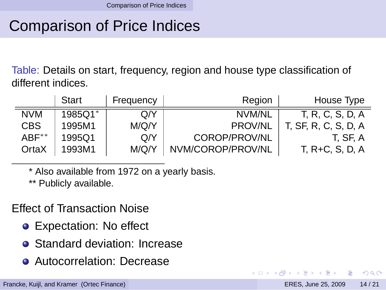### Comparison of Price Indices

Table: Details on start, frequency, region and house type classification of different indices.

|                  | Start   | Frequency | Region            | House Type           |
|------------------|---------|-----------|-------------------|----------------------|
| <b>NVM</b>       | 1985Q1* | O/Y       | NVM/NL            | T. R. C. S. D. A     |
| <b>CBS</b>       | 1995M1  | M/Q/Y     | <b>PROV/NL</b>    | T, SF, R, C, S, D, A |
| $ABF^{\ast\ast}$ | 1995Q1  | Q/Y       | COROP/PROV/NL     | T. SF. A             |
| OrtaX            | 1993M1  | M/Q/Y     | NVM/COROP/PROV/NL | T, R+C, S, D, A      |

\* Also available from 1972 on a yearly basis.

\*\* Publicly available.

Effect of Transaction Noise

- Expectation: No effect
- Standard deviation: Increase
- **Autocorrelation: Decrease**

<span id="page-13-0"></span> $\Omega$ 

重き イヨネ

 $+ \Box + 4 \Box$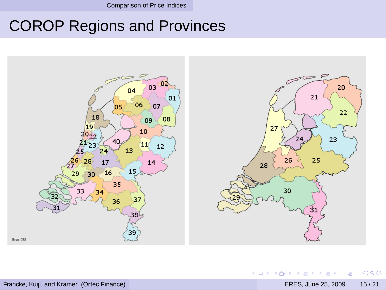Comparison of Price Indices

### COROP Regions and Provinces



重

<span id="page-14-0"></span> $299$ 

イロメ イ部メ イヨメ イヨメ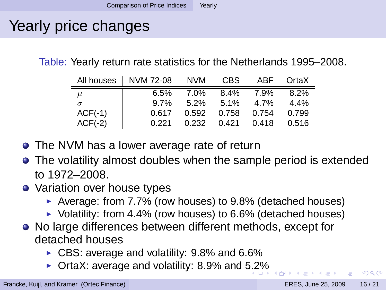# Yearly price changes

Table: Yearly return rate statistics for the Netherlands 1995–2008.

|           | All houses   NVM 72-08 | NVM     | CBS.    | ABF   | OrtaX   |
|-----------|------------------------|---------|---------|-------|---------|
| $\mu$     | 6.5%                   | 7.0%    | 8.4%    | 7.9%  | 8.2%    |
| $\sigma$  | 9.7%                   | $5.2\%$ | $5.1\%$ | 4.7%  | $4.4\%$ |
| $ACF(-1)$ | 0.617                  | 0.592   | 0.758   | 0.754 | 0.799   |
| $ACF(-2)$ | 0.221                  | 0.232   | 0.421   | 0.418 | 0.516   |

- The NVM has a lower average rate of return
- The volatility almost doubles when the sample period is extended to 1972–2008.
- Variation over house types
	- ► Average: from 7.7% (row houses) to 9.8% (detached houses)
	- ▶ Volatility: from 4.4% (row houses) to 6.6% (detached houses)
- No large differences between different methods, except for detached houses
	- ► CBS: average and volatility: 9.8% and 6.6%
	- ◮ OrtaX: average and volatility: 8.9% and [5.2](#page-14-0)[%](#page-16-0)

<span id="page-15-0"></span> $\Omega$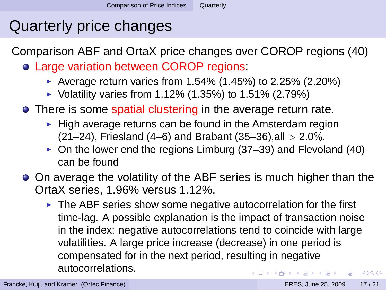### Quarterly price changes

Comparison ABF and OrtaX price changes over COROP regions (40)

- Large variation between COROP regions:
	- ▶ Average return varies from 1.54% (1.45%) to 2.25% (2.20%)
	- ▶ Volatility varies from 1.12% (1.35%) to 1.51% (2.79%)
- There is some spatial clustering in the average return rate.
	- $\blacktriangleright$  High average returns can be found in the Amsterdam region (21–24), Friesland (4–6) and Brabant (35–36), all  $> 2.0\%$ .
	- $\triangleright$  On the lower end the regions Limburg (37–39) and Flevoland (40) can be found
- <span id="page-16-0"></span>• On average the volatility of the ABF series is much higher than the OrtaX series, 1.96% versus 1.12%.
	- ▶ The ABF series show some negative autocorrelation for the first time-lag. A possible explanation is the impact of transaction noise in the index: negative autocorrelations tend to coincide with large volatilities. A large price increase (decrease) in one period is compensated for in the next period, resulting in negative autocorrelations.  $\Omega$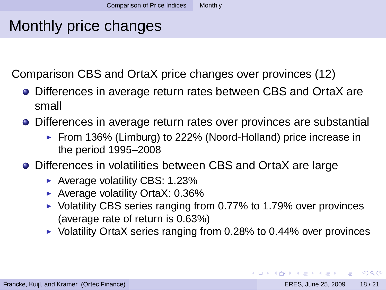#### Monthly price changes

Comparison CBS and OrtaX price changes over provinces (12)

- Differences in average return rates between CBS and OrtaX are small
- Differences in average return rates over provinces are substantial
	- ► From 136% (Limburg) to 222% (Noord-Holland) price increase in the period 1995–2008
- Differences in volatilities between CBS and OrtaX are large
	- ► Average volatility CBS: 1.23%
	- $\blacktriangleright$  Average volatility OrtaX: 0.36%
	- ▶ Volatility CBS series ranging from 0.77% to 1.79% over provinces (average rate of return is 0.63%)
	- $\triangleright$  Volatility OrtaX series ranging from 0.28% to 0.44% over provinces

<span id="page-17-0"></span> $\Omega$ 

イロト イ押 トイラ トイラト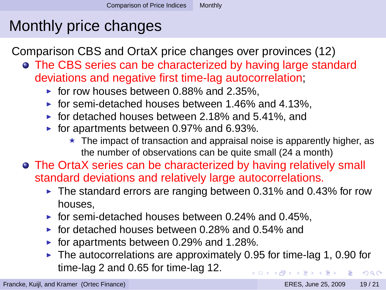# Monthly price changes

Comparison CBS and OrtaX price changes over provinces (12)

- The CBS series can be characterized by having large standard deviations and negative first time-lag autocorrelation;
	- $\triangleright$  for row houses between 0.88% and 2.35%.
	- $\triangleright$  for semi-detached houses between 1.46% and 4.13%,
	- ▶ for detached houses between  $2.18%$  and  $5.41%$ , and
	- $\triangleright$  for apartments between 0.97% and 6.93%.
		- $\star$  The impact of transaction and appraisal noise is apparently higher, as the number of observations can be quite small (24 a month)
- <span id="page-18-0"></span>The OrtaX series can be characterized by having relatively small standard deviations and relatively large autocorrelations.
	- $\blacktriangleright$  The standard errors are ranging between 0.31% and 0.43% for row houses,
	- $\triangleright$  for semi-detached houses between 0.24% and 0.45%.
	- $\triangleright$  for detached houses between 0.28% and 0.54% and
	- ▶ for apartments between  $0.29\%$  and  $1.28\%$ .
	- $\blacktriangleright$  The autocorrelations are approximately 0.95 for time-lag 1, 0.90 for time-lag 2 and 0.65 for time-lag 12. 4 FLA 4 FLA 4 FLA 4 FL  $QQ$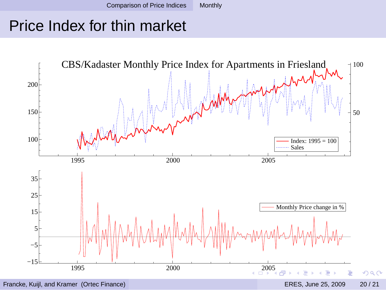#### Price Index for thin market